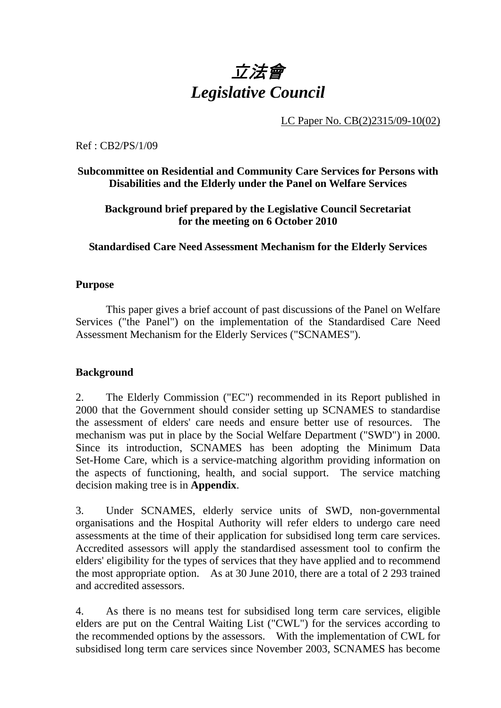# 立法會 *Legislative Council*

LC Paper No. CB(2)2315/09-10(02)

Ref : CB2/PS/1/09

#### **Subcommittee on Residential and Community Care Services for Persons with Disabilities and the Elderly under the Panel on Welfare Services**

**Background brief prepared by the Legislative Council Secretariat for the meeting on 6 October 2010** 

**Standardised Care Need Assessment Mechanism for the Elderly Services** 

#### **Purpose**

This paper gives a brief account of past discussions of the Panel on Welfare Services ("the Panel") on the implementation of the Standardised Care Need Assessment Mechanism for the Elderly Services ("SCNAMES").

#### **Background**

2. The Elderly Commission ("EC") recommended in its Report published in 2000 that the Government should consider setting up SCNAMES to standardise the assessment of elders' care needs and ensure better use of resources. The mechanism was put in place by the Social Welfare Department ("SWD") in 2000. Since its introduction, SCNAMES has been adopting the Minimum Data Set-Home Care, which is a service-matching algorithm providing information on the aspects of functioning, health, and social support. The service matching decision making tree is in **Appendix**.

3. Under SCNAMES, elderly service units of SWD, non-governmental organisations and the Hospital Authority will refer elders to undergo care need assessments at the time of their application for subsidised long term care services. Accredited assessors will apply the standardised assessment tool to confirm the elders' eligibility for the types of services that they have applied and to recommend the most appropriate option. As at 30 June 2010, there are a total of 2,293 trained and accredited assessors.

4. As there is no means test for subsidised long term care services, eligible elders are put on the Central Waiting List ("CWL") for the services according to the recommended options by the assessors. With the implementation of CWL for subsidised long term care services since November 2003, SCNAMES has become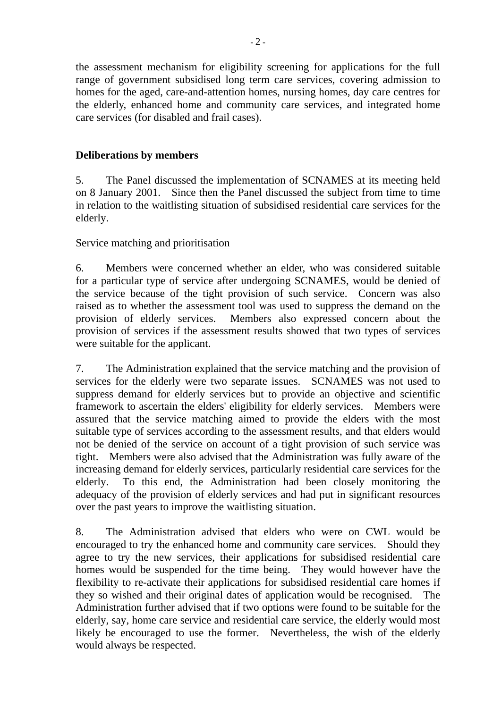the assessment mechanism for eligibility screening for applications for the full range of government subsidised long term care services, covering admission to homes for the aged, care-and-attention homes, nursing homes, day care centres for the elderly, enhanced home and community care services, and integrated home care services (for disabled and frail cases).

## **Deliberations by members**

5. The Panel discussed the implementation of SCNAMES at its meeting held on 8 January 2001. Since then the Panel discussed the subject from time to time in relation to the waitlisting situation of subsidised residential care services for the elderly.

### Service matching and prioritisation

6. Members were concerned whether an elder, who was considered suitable for a particular type of service after undergoing SCNAMES, would be denied of the service because of the tight provision of such service. Concern was also raised as to whether the assessment tool was used to suppress the demand on the provision of elderly services. Members also expressed concern about the provision of services if the assessment results showed that two types of services were suitable for the applicant.

7. The Administration explained that the service matching and the provision of services for the elderly were two separate issues. SCNAMES was not used to suppress demand for elderly services but to provide an objective and scientific framework to ascertain the elders' eligibility for elderly services. Members were assured that the service matching aimed to provide the elders with the most suitable type of services according to the assessment results, and that elders would not be denied of the service on account of a tight provision of such service was tight. Members were also advised that the Administration was fully aware of the increasing demand for elderly services, particularly residential care services for the elderly. To this end, the Administration had been closely monitoring the adequacy of the provision of elderly services and had put in significant resources over the past years to improve the waitlisting situation.

8. The Administration advised that elders who were on CWL would be encouraged to try the enhanced home and community care services. Should they agree to try the new services, their applications for subsidised residential care homes would be suspended for the time being. They would however have the flexibility to re-activate their applications for subsidised residential care homes if they so wished and their original dates of application would be recognised. The Administration further advised that if two options were found to be suitable for the elderly, say, home care service and residential care service, the elderly would most likely be encouraged to use the former. Nevertheless, the wish of the elderly would always be respected.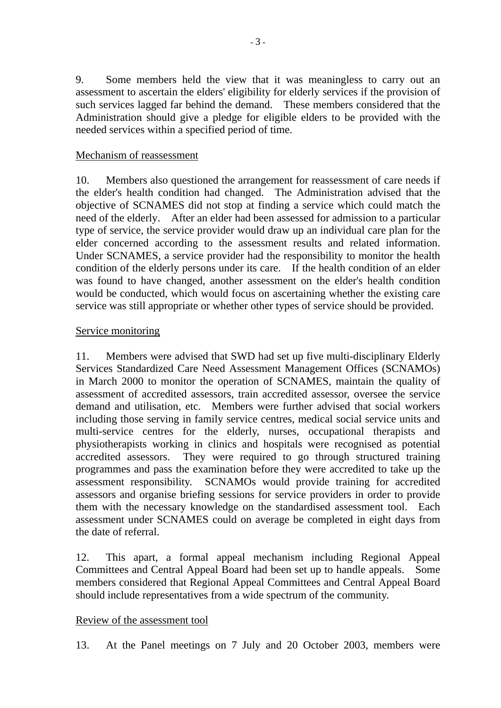9. Some members held the view that it was meaningless to carry out an assessment to ascertain the elders' eligibility for elderly services if the provision of such services lagged far behind the demand. These members considered that the Administration should give a pledge for eligible elders to be provided with the needed services within a specified period of time.

#### Mechanism of reassessment

10. Members also questioned the arrangement for reassessment of care needs if the elder's health condition had changed. The Administration advised that the objective of SCNAMES did not stop at finding a service which could match the need of the elderly. After an elder had been assessed for admission to a particular type of service, the service provider would draw up an individual care plan for the elder concerned according to the assessment results and related information. Under SCNAMES, a service provider had the responsibility to monitor the health condition of the elderly persons under its care. If the health condition of an elder was found to have changed, another assessment on the elder's health condition would be conducted, which would focus on ascertaining whether the existing care service was still appropriate or whether other types of service should be provided.

#### Service monitoring

11. Members were advised that SWD had set up five multi-disciplinary Elderly Services Standardized Care Need Assessment Management Offices (SCNAMOs) in March 2000 to monitor the operation of SCNAMES, maintain the quality of assessment of accredited assessors, train accredited assessor, oversee the service demand and utilisation, etc. Members were further advised that social workers including those serving in family service centres, medical social service units and multi-service centres for the elderly, nurses, occupational therapists and physiotherapists working in clinics and hospitals were recognised as potential accredited assessors. They were required to go through structured training programmes and pass the examination before they were accredited to take up the assessment responsibility. SCNAMOs would provide training for accredited assessors and organise briefing sessions for service providers in order to provide them with the necessary knowledge on the standardised assessment tool. Each assessment under SCNAMES could on average be completed in eight days from the date of referral.

12. This apart, a formal appeal mechanism including Regional Appeal Committees and Central Appeal Board had been set up to handle appeals. Some members considered that Regional Appeal Committees and Central Appeal Board should include representatives from a wide spectrum of the community.

#### Review of the assessment tool

13. At the Panel meetings on 7 July and 20 October 2003, members were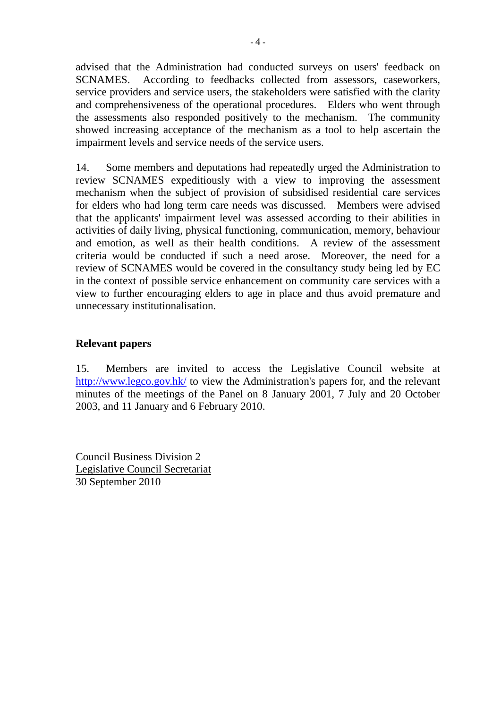advised that the Administration had conducted surveys on users' feedback on SCNAMES. According to feedbacks collected from assessors, caseworkers, service providers and service users, the stakeholders were satisfied with the clarity and comprehensiveness of the operational procedures. Elders who went through the assessments also responded positively to the mechanism. The community showed increasing acceptance of the mechanism as a tool to help ascertain the impairment levels and service needs of the service users.

14. Some members and deputations had repeatedly urged the Administration to review SCNAMES expeditiously with a view to improving the assessment mechanism when the subject of provision of subsidised residential care services for elders who had long term care needs was discussed. Members were advised that the applicants' impairment level was assessed according to their abilities in activities of daily living, physical functioning, communication, memory, behaviour and emotion, as well as their health conditions. A review of the assessment criteria would be conducted if such a need arose. Moreover, the need for a review of SCNAMES would be covered in the consultancy study being led by EC in the context of possible service enhancement on community care services with a view to further encouraging elders to age in place and thus avoid premature and unnecessary institutionalisation.

#### **Relevant papers**

15. Members are invited to access the Legislative Council website at http://www.legco.gov.hk/ to view the Administration's papers for, and the relevant minutes of the meetings of the Panel on 8 January 2001, 7 July and 20 October 2003, and 11 January and 6 February 2010.

Council Business Division 2 Legislative Council Secretariat 30 September 2010